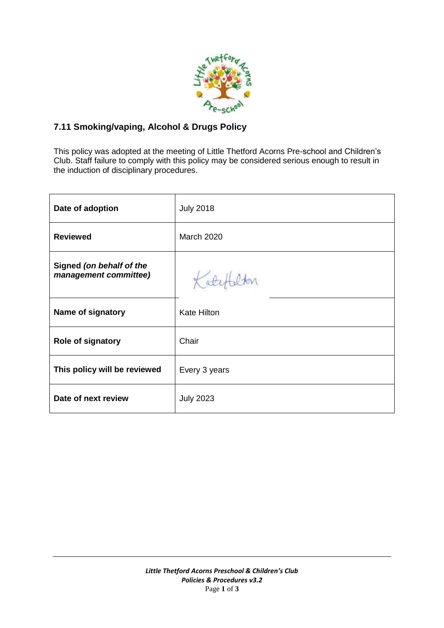

## **7.11 Smoking/vaping, Alcohol & Drugs Policy**

This policy was adopted at the meeting of Little Thetford Acorns Pre-school and Children's Club. Staff failure to comply with this policy may be considered serious enough to result in the induction of disciplinary procedures.

| Date of adoption                                  | <b>July 2018</b>   |
|---------------------------------------------------|--------------------|
| <b>Reviewed</b>                                   | <b>March 2020</b>  |
| Signed (on behalf of the<br>management committee) | Katch              |
| Name of signatory                                 | <b>Kate Hilton</b> |
| <b>Role of signatory</b>                          | Chair              |
| This policy will be reviewed                      | Every 3 years      |
| Date of next review                               | <b>July 2023</b>   |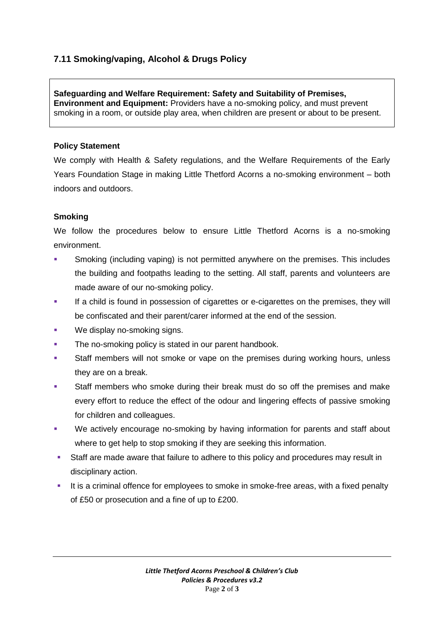# **7.11 Smoking/vaping, Alcohol & Drugs Policy**

**Safeguarding and Welfare Requirement: Safety and Suitability of Premises, Environment and Equipment:** Providers have a no-smoking policy, and must prevent smoking in a room, or outside play area, when children are present or about to be present.

#### **Policy Statement**

We comply with Health & Safety regulations, and the Welfare Requirements of the Early Years Foundation Stage in making Little Thetford Acorns a no-smoking environment – both indoors and outdoors.

#### **Smoking**

We follow the procedures below to ensure Little Thetford Acorns is a no-smoking environment.

- Smoking (including vaping) is not permitted anywhere on the premises. This includes the building and footpaths leading to the setting. All staff, parents and volunteers are made aware of our no-smoking policy.
- If a child is found in possession of cigarettes or e-cigarettes on the premises, they will be confiscated and their parent/carer informed at the end of the session.
- We display no-smoking signs.
- The no-smoking policy is stated in our parent handbook.
- Staff members will not smoke or vape on the premises during working hours, unless they are on a break.
- Staff members who smoke during their break must do so off the premises and make every effort to reduce the effect of the odour and lingering effects of passive smoking for children and colleagues.
- We actively encourage no-smoking by having information for parents and staff about where to get help to stop smoking if they are seeking this information.
- Staff are made aware that failure to adhere to this policy and procedures may result in disciplinary action.
- It is a criminal offence for employees to smoke in smoke-free areas, with a fixed penalty of £50 or prosecution and a fine of up to £200.